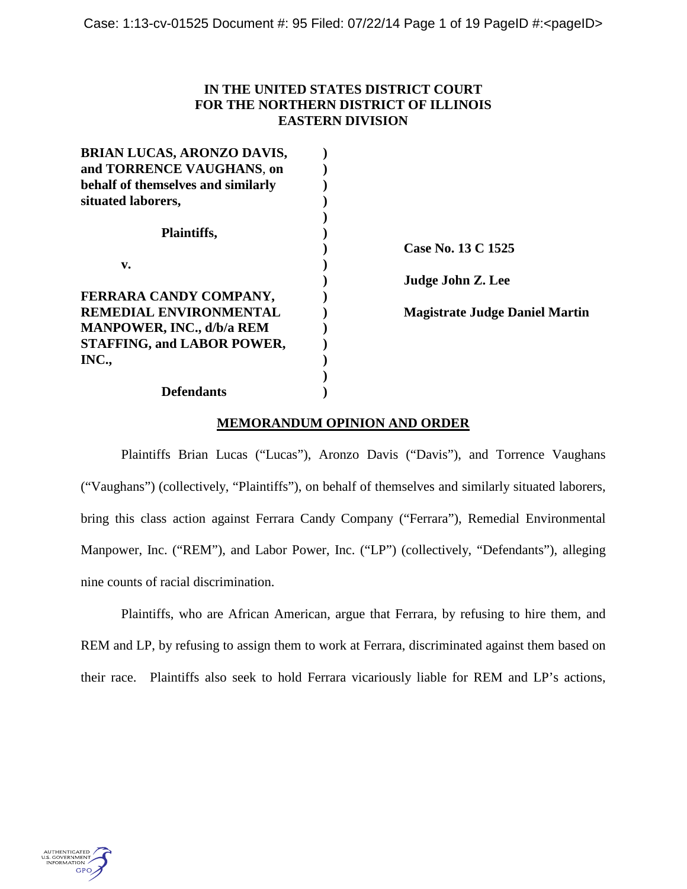# **IN THE UNITED STATES DISTRICT COURT FOR THE NORTHERN DISTRICT OF ILLINOIS EASTERN DIVISION**

| <b>BRIAN LUCAS, ARONZO DAVIS,</b>  |                                       |
|------------------------------------|---------------------------------------|
| and TORRENCE VAUGHANS, on          |                                       |
| behalf of themselves and similarly |                                       |
| situated laborers,                 |                                       |
|                                    |                                       |
| <b>Plaintiffs,</b>                 |                                       |
|                                    | Case No. 13 C 1525                    |
| v.                                 |                                       |
|                                    | Judge John Z. Lee                     |
| FERRARA CANDY COMPANY,             |                                       |
| REMEDIAL ENVIRONMENTAL             | <b>Magistrate Judge Daniel Martin</b> |
| <b>MANPOWER, INC., d/b/a REM</b>   |                                       |
| <b>STAFFING, and LABOR POWER,</b>  |                                       |
| INC.,                              |                                       |
|                                    |                                       |
| Defendants                         |                                       |

## **MEMORANDUM OPINION AND ORDER**

Plaintiffs Brian Lucas ("Lucas"), Aronzo Davis ("Davis"), and Torrence Vaughans ("Vaughans") (collectively, "Plaintiffs"), on behalf of themselves and similarly situated laborers, bring this class action against Ferrara Candy Company ("Ferrara"), Remedial Environmental Manpower, Inc. ("REM"), and Labor Power, Inc. ("LP") (collectively, "Defendants"), alleging nine counts of racial discrimination.

Plaintiffs, who are African American, argue that Ferrara, by refusing to hire them, and REM and LP, by refusing to assign them to work at Ferrara, discriminated against them based on their race. Plaintiffs also seek to hold Ferrara vicariously liable for REM and LP's actions,

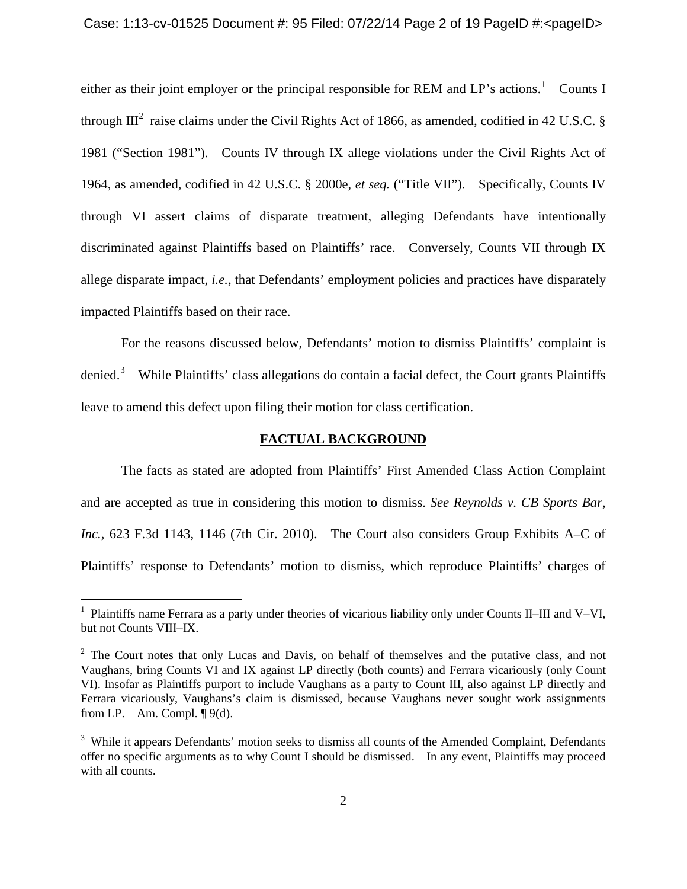### Case: 1:13-cv-01525 Document #: 95 Filed: 07/22/14 Page 2 of 19 PageID #:<pageID>

either as their joint employer or the principal responsible for REM and LP's actions.<sup>[1](#page-1-0)</sup> Counts I through  $III^2$  $III^2$  raise claims under the Civil Rights Act of 1866, as amended, codified in 42 U.S.C. § 1981 ("Section 1981"). Counts IV through IX allege violations under the Civil Rights Act of 1964, as amended, codified in 42 U.S.C. § 2000e, *et seq.* ("Title VII"). Specifically, Counts IV through VI assert claims of disparate treatment, alleging Defendants have intentionally discriminated against Plaintiffs based on Plaintiffs' race. Conversely, Counts VII through IX allege disparate impact, *i.e.*, that Defendants' employment policies and practices have disparately impacted Plaintiffs based on their race.

For the reasons discussed below, Defendants' motion to dismiss Plaintiffs' complaint is denied.<sup>[3](#page-1-2)</sup> While Plaintiffs' class allegations do contain a facial defect, the Court grants Plaintiffs leave to amend this defect upon filing their motion for class certification.

## **FACTUAL BACKGROUND**

The facts as stated are adopted from Plaintiffs' First Amended Class Action Complaint and are accepted as true in considering this motion to dismiss. *See Reynolds v. CB Sports Bar, Inc.*, 623 F.3d 1143, 1146 (7th Cir. 2010). The Court also considers Group Exhibits A–C of Plaintiffs' response to Defendants' motion to dismiss, which reproduce Plaintiffs' charges of

<span id="page-1-0"></span><sup>&</sup>lt;sup>1</sup> Plaintiffs name Ferrara as a party under theories of vicarious liability only under Counts II–III and V–VI, but not Counts VIII–IX.

<span id="page-1-1"></span><sup>&</sup>lt;sup>2</sup> The Court notes that only Lucas and Davis, on behalf of themselves and the putative class, and not Vaughans, bring Counts VI and IX against LP directly (both counts) and Ferrara vicariously (only Count VI). Insofar as Plaintiffs purport to include Vaughans as a party to Count III, also against LP directly and Ferrara vicariously, Vaughans's claim is dismissed, because Vaughans never sought work assignments from LP. Am. Compl.  $\P$ 9(d).

<span id="page-1-2"></span><sup>&</sup>lt;sup>3</sup> While it appears Defendants' motion seeks to dismiss all counts of the Amended Complaint, Defendants offer no specific arguments as to why Count I should be dismissed. In any event, Plaintiffs may proceed with all counts.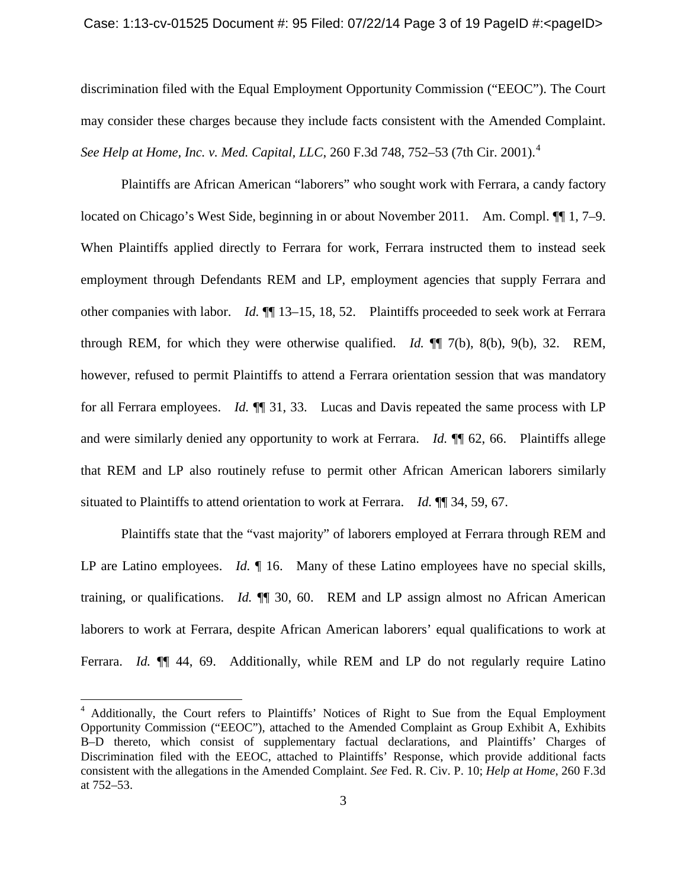### Case: 1:13-cv-01525 Document #: 95 Filed: 07/22/14 Page 3 of 19 PageID #:<pageID>

discrimination filed with the Equal Employment Opportunity Commission ("EEOC"). The Court may consider these charges because they include facts consistent with the Amended Complaint. *See Help at Home, Inc. v. Med. Capital, LLC, 260 F.3d 7[4](#page-2-0)8, 752–53 (7th Cir. 2001).*<sup>4</sup>

Plaintiffs are African American "laborers" who sought work with Ferrara, a candy factory located on Chicago's West Side, beginning in or about November 2011. Am. Compl.  $\P\P$  1, 7–9. When Plaintiffs applied directly to Ferrara for work, Ferrara instructed them to instead seek employment through Defendants REM and LP, employment agencies that supply Ferrara and other companies with labor. *Id.* ¶¶ 13–15, 18, 52. Plaintiffs proceeded to seek work at Ferrara through REM, for which they were otherwise qualified. *Id.* ¶¶ 7(b), 8(b), 9(b), 32. REM, however, refused to permit Plaintiffs to attend a Ferrara orientation session that was mandatory for all Ferrara employees. *Id.* ¶¶ 31, 33. Lucas and Davis repeated the same process with LP and were similarly denied any opportunity to work at Ferrara. *Id.* ¶¶ 62, 66. Plaintiffs allege that REM and LP also routinely refuse to permit other African American laborers similarly situated to Plaintiffs to attend orientation to work at Ferrara. *Id.* ¶¶ 34, 59, 67.

Plaintiffs state that the "vast majority" of laborers employed at Ferrara through REM and LP are Latino employees. *Id.* ¶ 16. Many of these Latino employees have no special skills, training, or qualifications. *Id.* ¶¶ 30, 60. REM and LP assign almost no African American laborers to work at Ferrara, despite African American laborers' equal qualifications to work at Ferrara. *Id.* **[1]** 44, 69. Additionally, while REM and LP do not regularly require Latino

<span id="page-2-0"></span><sup>&</sup>lt;sup>4</sup> Additionally, the Court refers to Plaintiffs' Notices of Right to Sue from the Equal Employment Opportunity Commission ("EEOC"), attached to the Amended Complaint as Group Exhibit A, Exhibits B–D thereto, which consist of supplementary factual declarations, and Plaintiffs' Charges of Discrimination filed with the EEOC, attached to Plaintiffs' Response, which provide additional facts consistent with the allegations in the Amended Complaint. *See* Fed. R. Civ. P. 10; *Help at Home*, 260 F.3d at 752–53.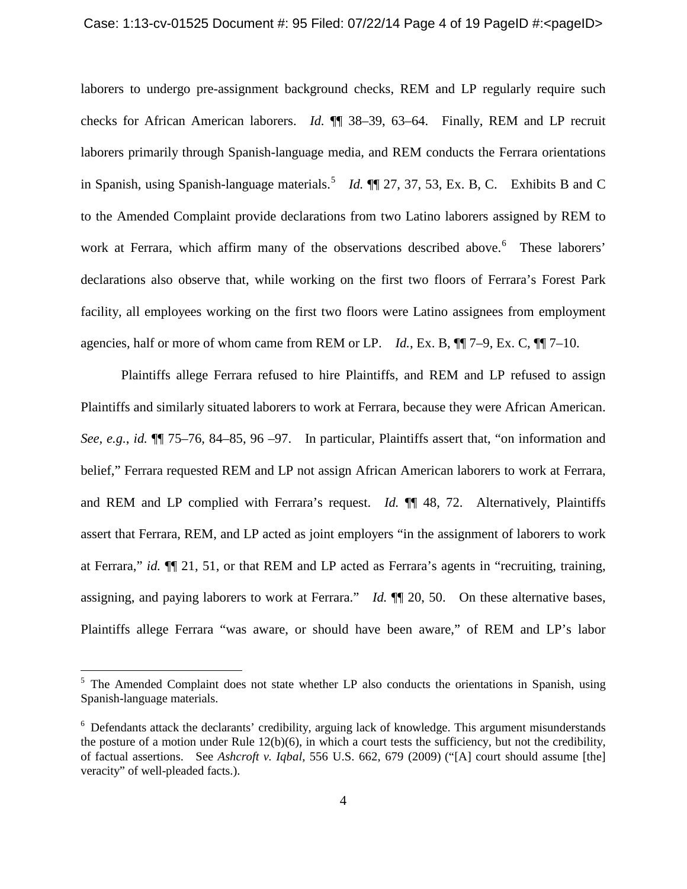### Case: 1:13-cv-01525 Document #: 95 Filed: 07/22/14 Page 4 of 19 PageID #:<pageID>

laborers to undergo pre-assignment background checks, REM and LP regularly require such checks for African American laborers. *Id.* ¶¶ 38–39, 63–64. Finally, REM and LP recruit laborers primarily through Spanish-language media, and REM conducts the Ferrara orientations in Spanish, using Spanish-language materials.[5](#page-3-0) *Id.* ¶¶ 27, 37, 53, Ex. B, C. Exhibits B and C to the Amended Complaint provide declarations from two Latino laborers assigned by REM to work at Ferrara, which affirm many of the observations described above. [6](#page-3-1) These laborers' declarations also observe that, while working on the first two floors of Ferrara's Forest Park facility, all employees working on the first two floors were Latino assignees from employment agencies, half or more of whom came from REM or LP. *Id.*, Ex. B, ¶¶ 7–9, Ex. C, ¶¶ 7–10.

Plaintiffs allege Ferrara refused to hire Plaintiffs, and REM and LP refused to assign Plaintiffs and similarly situated laborers to work at Ferrara, because they were African American. *See, e.g.*, *id.* ¶¶ 75–76, 84–85, 96 –97. In particular, Plaintiffs assert that, "on information and belief," Ferrara requested REM and LP not assign African American laborers to work at Ferrara, and REM and LP complied with Ferrara's request. *Id.* ¶¶ 48, 72. Alternatively, Plaintiffs assert that Ferrara, REM, and LP acted as joint employers "in the assignment of laborers to work at Ferrara," *id.* ¶¶ 21, 51, or that REM and LP acted as Ferrara's agents in "recruiting, training, assigning, and paying laborers to work at Ferrara." *Id.* ¶¶ 20, 50. On these alternative bases, Plaintiffs allege Ferrara "was aware, or should have been aware," of REM and LP's labor

<span id="page-3-0"></span> $5$  The Amended Complaint does not state whether LP also conducts the orientations in Spanish, using Spanish-language materials.

<span id="page-3-1"></span><sup>&</sup>lt;sup>6</sup> Defendants attack the declarants' credibility, arguing lack of knowledge. This argument misunderstands the posture of a motion under Rule  $12(b)(6)$ , in which a court tests the sufficiency, but not the credibility, of factual assertions. See *Ashcroft v. Iqbal*, 556 U.S. 662, 679 (2009) ("[A] court should assume [the] veracity" of well-pleaded facts.).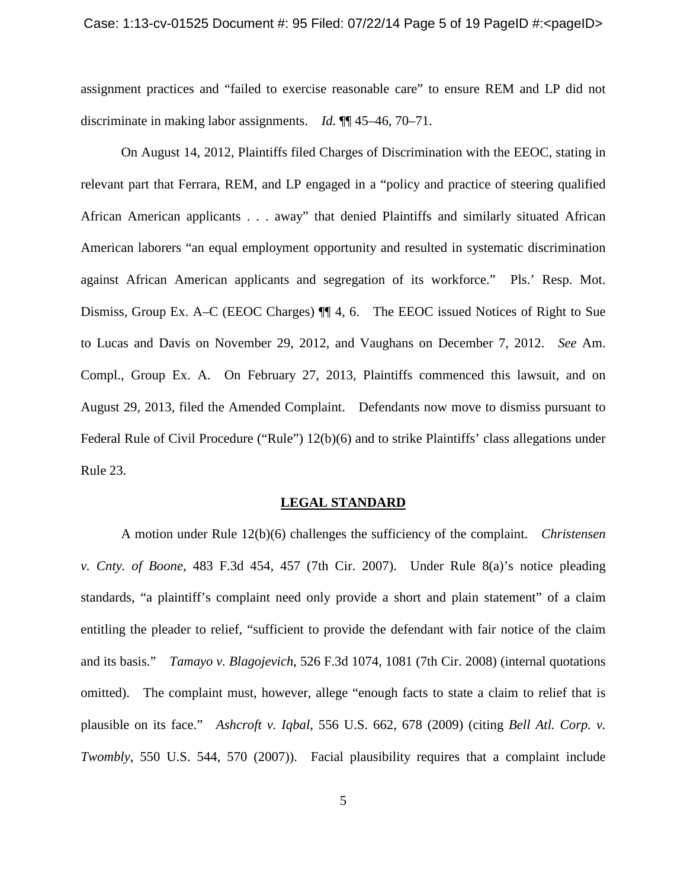### Case: 1:13-cv-01525 Document #: 95 Filed: 07/22/14 Page 5 of 19 PageID #:<pageID>

assignment practices and "failed to exercise reasonable care" to ensure REM and LP did not discriminate in making labor assignments. *Id.* ¶¶ 45–46, 70–71.

On August 14, 2012, Plaintiffs filed Charges of Discrimination with the EEOC, stating in relevant part that Ferrara, REM, and LP engaged in a "policy and practice of steering qualified African American applicants . . . away" that denied Plaintiffs and similarly situated African American laborers "an equal employment opportunity and resulted in systematic discrimination against African American applicants and segregation of its workforce." Pls.' Resp. Mot. Dismiss, Group Ex. A–C (EEOC Charges) ¶¶ 4, 6. The EEOC issued Notices of Right to Sue to Lucas and Davis on November 29, 2012, and Vaughans on December 7, 2012. *See* Am. Compl., Group Ex. A. On February 27, 2013, Plaintiffs commenced this lawsuit, and on August 29, 2013, filed the Amended Complaint. Defendants now move to dismiss pursuant to Federal Rule of Civil Procedure ("Rule") 12(b)(6) and to strike Plaintiffs' class allegations under Rule 23.

### **LEGAL STANDARD**

A motion under Rule 12(b)(6) challenges the sufficiency of the complaint. *Christensen v. Cnty. of Boone*, 483 F.3d 454, 457 (7th Cir. 2007). Under Rule 8(a)'s notice pleading standards, "a plaintiff's complaint need only provide a short and plain statement" of a claim entitling the pleader to relief, "sufficient to provide the defendant with fair notice of the claim and its basis." *Tamayo v. Blagojevich*, 526 F.3d 1074, 1081 (7th Cir. 2008) (internal quotations omitted). The complaint must, however, allege "enough facts to state a claim to relief that is plausible on its face." *Ashcroft v. Iqbal*, 556 U.S. 662, 678 (2009) (citing *Bell Atl. Corp. v. Twombly*, 550 U.S. 544, 570 (2007)). Facial plausibility requires that a complaint include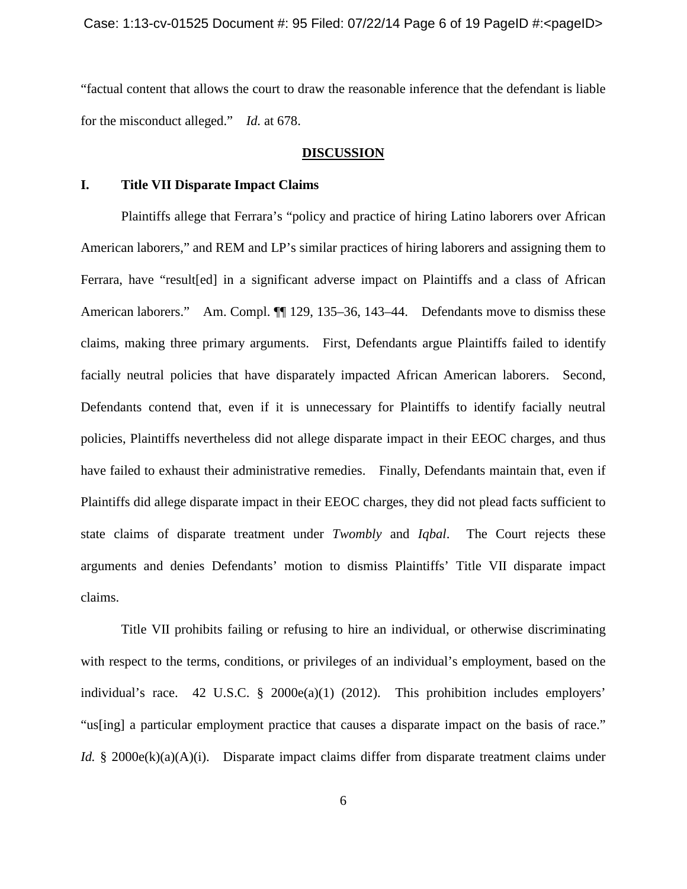"factual content that allows the court to draw the reasonable inference that the defendant is liable for the misconduct alleged." *Id.* at 678.

### **DISCUSSION**

## **I. Title VII Disparate Impact Claims**

Plaintiffs allege that Ferrara's "policy and practice of hiring Latino laborers over African American laborers," and REM and LP's similar practices of hiring laborers and assigning them to Ferrara, have "result[ed] in a significant adverse impact on Plaintiffs and a class of African American laborers." Am. Compl.  $\P$  129, 135–36, 143–44. Defendants move to dismiss these claims, making three primary arguments. First, Defendants argue Plaintiffs failed to identify facially neutral policies that have disparately impacted African American laborers. Second, Defendants contend that, even if it is unnecessary for Plaintiffs to identify facially neutral policies, Plaintiffs nevertheless did not allege disparate impact in their EEOC charges, and thus have failed to exhaust their administrative remedies. Finally, Defendants maintain that, even if Plaintiffs did allege disparate impact in their EEOC charges, they did not plead facts sufficient to state claims of disparate treatment under *Twombly* and *Iqbal*. The Court rejects these arguments and denies Defendants' motion to dismiss Plaintiffs' Title VII disparate impact claims.

Title VII prohibits failing or refusing to hire an individual, or otherwise discriminating with respect to the terms, conditions, or privileges of an individual's employment, based on the individual's race. 42 U.S.C. § 2000e(a)(1) (2012). This prohibition includes employers' "us[ing] a particular employment practice that causes a disparate impact on the basis of race." *Id.* § 2000e(k)(a)(A)(i). Disparate impact claims differ from disparate treatment claims under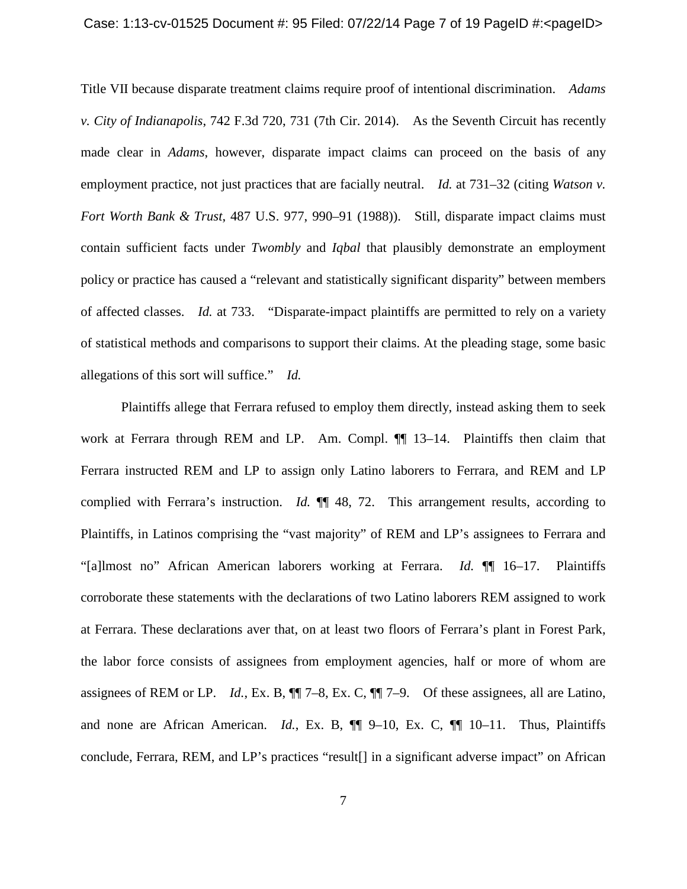### Case: 1:13-cv-01525 Document #: 95 Filed: 07/22/14 Page 7 of 19 PageID #:<pageID>

Title VII because disparate treatment claims require proof of intentional discrimination. *Adams v. City of Indianapolis*, 742 F.3d 720, 731 (7th Cir. 2014). As the Seventh Circuit has recently made clear in *Adams*, however, disparate impact claims can proceed on the basis of any employment practice, not just practices that are facially neutral. *Id.* at 731–32 (citing *Watson v. Fort Worth Bank & Trust*, 487 U.S. 977, 990–91 (1988)). Still, disparate impact claims must contain sufficient facts under *Twombly* and *Iqbal* that plausibly demonstrate an employment policy or practice has caused a "relevant and statistically significant disparity" between members of affected classes. *Id.* at 733. "Disparate-impact plaintiffs are permitted to rely on a variety of statistical methods and comparisons to support their claims. At the pleading stage, some basic allegations of this sort will suffice." *Id.*

Plaintiffs allege that Ferrara refused to employ them directly, instead asking them to seek work at Ferrara through REM and LP. Am. Compl.  $\P$  13–14. Plaintiffs then claim that Ferrara instructed REM and LP to assign only Latino laborers to Ferrara, and REM and LP complied with Ferrara's instruction. *Id.*  $\P\P$  48, 72. This arrangement results, according to Plaintiffs, in Latinos comprising the "vast majority" of REM and LP's assignees to Ferrara and "[a]lmost no" African American laborers working at Ferrara. *Id.* ¶¶ 16–17. Plaintiffs corroborate these statements with the declarations of two Latino laborers REM assigned to work at Ferrara. These declarations aver that, on at least two floors of Ferrara's plant in Forest Park, the labor force consists of assignees from employment agencies, half or more of whom are assignees of REM or LP. *Id.*, Ex. B, ¶¶ 7–8, Ex. C, ¶¶ 7–9. Of these assignees, all are Latino, and none are African American. *Id.*, Ex. B, ¶¶ 9–10, Ex. C, ¶¶ 10–11. Thus, Plaintiffs conclude, Ferrara, REM, and LP's practices "result[] in a significant adverse impact" on African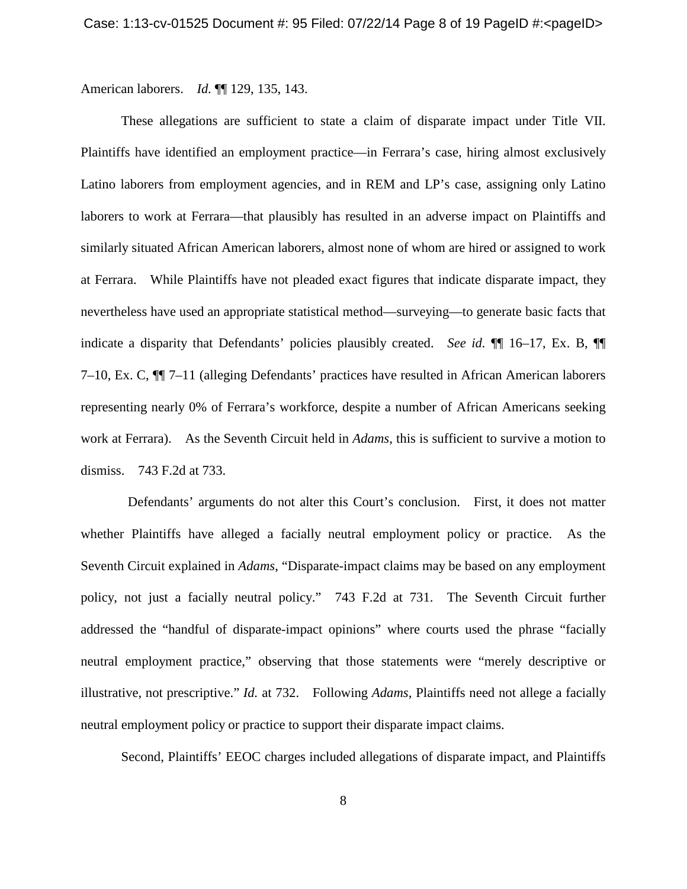American laborers. *Id.* ¶¶ 129, 135, 143.

These allegations are sufficient to state a claim of disparate impact under Title VII. Plaintiffs have identified an employment practice—in Ferrara's case, hiring almost exclusively Latino laborers from employment agencies, and in REM and LP's case, assigning only Latino laborers to work at Ferrara—that plausibly has resulted in an adverse impact on Plaintiffs and similarly situated African American laborers, almost none of whom are hired or assigned to work at Ferrara. While Plaintiffs have not pleaded exact figures that indicate disparate impact, they nevertheless have used an appropriate statistical method—surveying—to generate basic facts that indicate a disparity that Defendants' policies plausibly created. *See id.* ¶¶ 16–17, Ex. B, ¶¶ 7–10, Ex. C, ¶¶ 7–11 (alleging Defendants' practices have resulted in African American laborers representing nearly 0% of Ferrara's workforce, despite a number of African Americans seeking work at Ferrara). As the Seventh Circuit held in *Adams*, this is sufficient to survive a motion to dismiss. 743 F.2d at 733.

Defendants' arguments do not alter this Court's conclusion. First, it does not matter whether Plaintiffs have alleged a facially neutral employment policy or practice. As the Seventh Circuit explained in *Adams*, "Disparate-impact claims may be based on any employment policy, not just a facially neutral policy." 743 F.2d at 731. The Seventh Circuit further addressed the "handful of disparate-impact opinions" where courts used the phrase "facially neutral employment practice," observing that those statements were "merely descriptive or illustrative, not prescriptive." *Id.* at 732. Following *Adams*, Plaintiffs need not allege a facially neutral employment policy or practice to support their disparate impact claims.

Second, Plaintiffs' EEOC charges included allegations of disparate impact, and Plaintiffs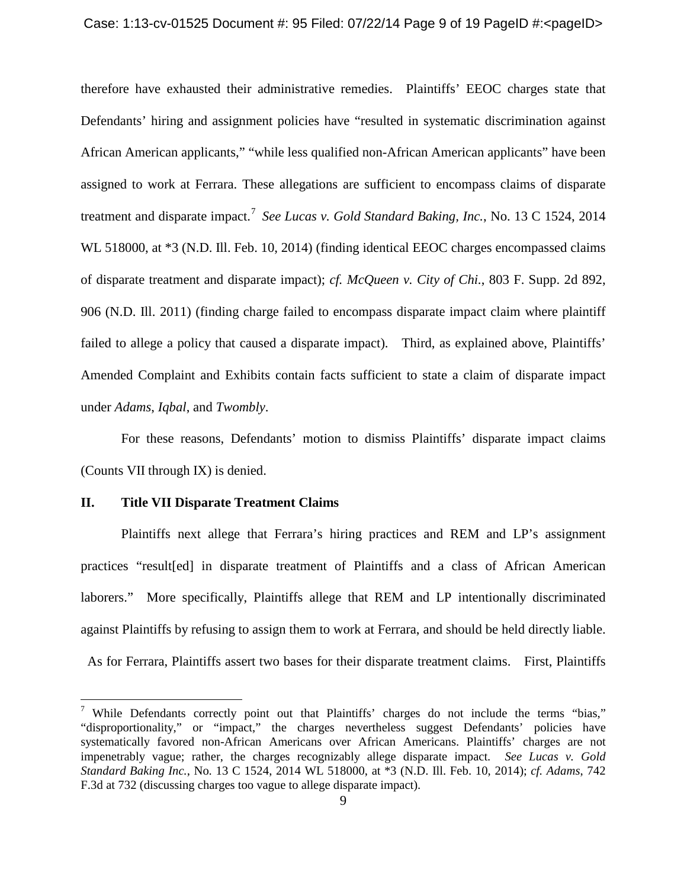therefore have exhausted their administrative remedies. Plaintiffs' EEOC charges state that Defendants' hiring and assignment policies have "resulted in systematic discrimination against African American applicants," "while less qualified non-African American applicants" have been assigned to work at Ferrara. These allegations are sufficient to encompass claims of disparate treatment and disparate impact.<sup>[7](#page-8-0)</sup> See Lucas v. Gold Standard Baking, Inc., No. 13 C 1524, 2014 WL 518000, at  $*3$  (N.D. Ill. Feb. 10, 2014) (finding identical EEOC charges encompassed claims of disparate treatment and disparate impact); *cf. McQueen v. City of Chi.*, 803 F. Supp. 2d 892, 906 (N.D. Ill. 2011) (finding charge failed to encompass disparate impact claim where plaintiff failed to allege a policy that caused a disparate impact). Third, as explained above, Plaintiffs' Amended Complaint and Exhibits contain facts sufficient to state a claim of disparate impact under *Adams*, *Iqbal*, and *Twombly*.

For these reasons, Defendants' motion to dismiss Plaintiffs' disparate impact claims (Counts VII through IX) is denied.

## **II. Title VII Disparate Treatment Claims**

 $\overline{a}$ 

Plaintiffs next allege that Ferrara's hiring practices and REM and LP's assignment practices "result[ed] in disparate treatment of Plaintiffs and a class of African American laborers." More specifically, Plaintiffs allege that REM and LP intentionally discriminated against Plaintiffs by refusing to assign them to work at Ferrara, and should be held directly liable.

As for Ferrara, Plaintiffs assert two bases for their disparate treatment claims. First, Plaintiffs

<span id="page-8-0"></span><sup>&</sup>lt;sup>7</sup> While Defendants correctly point out that Plaintiffs' charges do not include the terms "bias," "disproportionality," or "impact," the charges nevertheless suggest Defendants' policies have systematically favored non-African Americans over African Americans. Plaintiffs' charges are not impenetrably vague; rather, the charges recognizably allege disparate impact. *See Lucas v. Gold Standard Baking Inc.*, No. 13 C 1524, 2014 WL 518000, at \*3 (N.D. Ill. Feb. 10, 2014); *cf. Adams*, 742 F.3d at 732 (discussing charges too vague to allege disparate impact).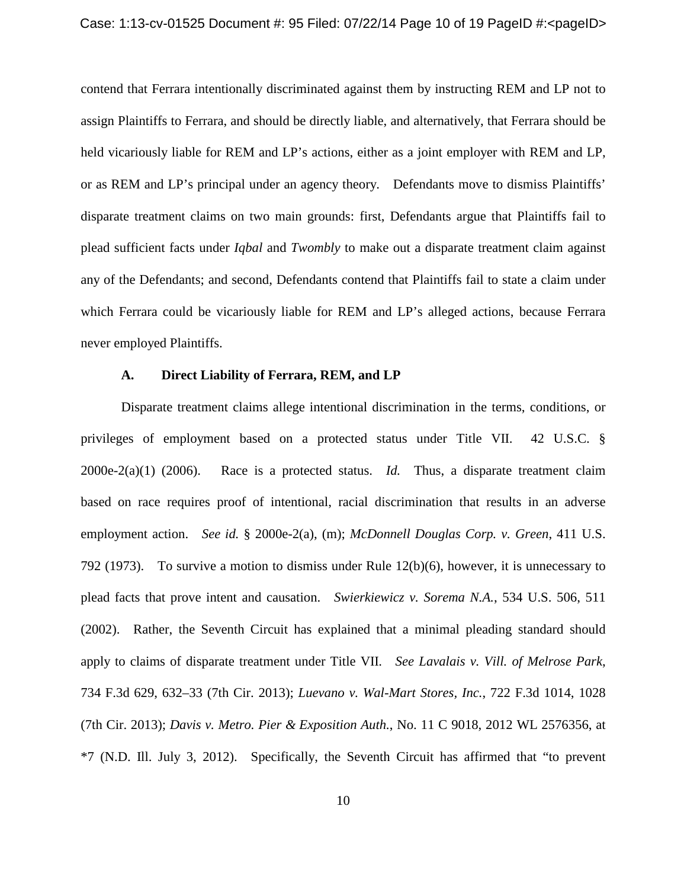contend that Ferrara intentionally discriminated against them by instructing REM and LP not to assign Plaintiffs to Ferrara, and should be directly liable, and alternatively, that Ferrara should be held vicariously liable for REM and LP's actions, either as a joint employer with REM and LP, or as REM and LP's principal under an agency theory. Defendants move to dismiss Plaintiffs' disparate treatment claims on two main grounds: first, Defendants argue that Plaintiffs fail to plead sufficient facts under *Iqbal* and *Twombly* to make out a disparate treatment claim against any of the Defendants; and second, Defendants contend that Plaintiffs fail to state a claim under which Ferrara could be vicariously liable for REM and LP's alleged actions, because Ferrara never employed Plaintiffs.

### **A. Direct Liability of Ferrara, REM, and LP**

Disparate treatment claims allege intentional discrimination in the terms, conditions, or privileges of employment based on a protected status under Title VII. 42 U.S.C. § 2000e-2(a)(1) (2006). Race is a protected status. *Id.* Thus, a disparate treatment claim based on race requires proof of intentional, racial discrimination that results in an adverse employment action. *See id.* § 2000e-2(a), (m); *McDonnell Douglas Corp. v. Green*, 411 U.S. 792 (1973). To survive a motion to dismiss under Rule 12(b)(6), however, it is unnecessary to plead facts that prove intent and causation. *Swierkiewicz v. Sorema N.A.*, 534 U.S. 506, 511 (2002). Rather, the Seventh Circuit has explained that a minimal pleading standard should apply to claims of disparate treatment under Title VII. *See Lavalais v. Vill. of Melrose Park*, 734 F.3d 629, 632–33 (7th Cir. 2013); *Luevano v. Wal-Mart Stores, Inc.*, 722 F.3d 1014, 1028 (7th Cir. 2013); *Davis v. Metro. Pier & Exposition Auth.*, No. 11 C 9018, 2012 WL 2576356, at \*7 (N.D. Ill. July 3, 2012). Specifically, the Seventh Circuit has affirmed that "to prevent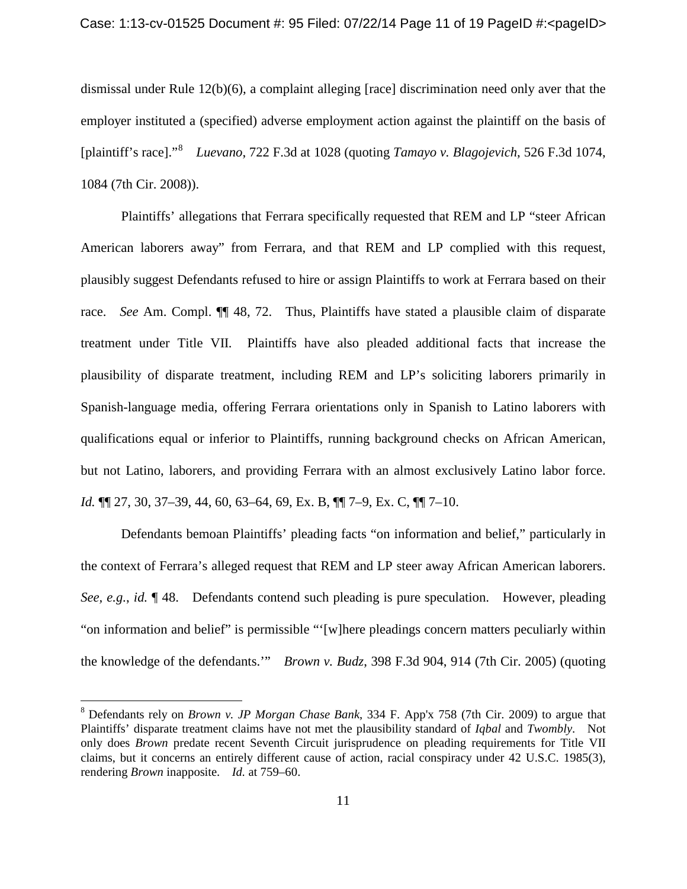dismissal under Rule 12(b)(6), a complaint alleging [race] discrimination need only aver that the employer instituted a (specified) adverse employment action against the plaintiff on the basis of [plaintiff's race]."[8](#page-10-0) *Luevano*, 722 F.3d at 1028 (quoting *Tamayo v. Blagojevich*, 526 F.3d 1074, 1084 (7th Cir. 2008)).

Plaintiffs' allegations that Ferrara specifically requested that REM and LP "steer African American laborers away" from Ferrara, and that REM and LP complied with this request, plausibly suggest Defendants refused to hire or assign Plaintiffs to work at Ferrara based on their race. *See* Am. Compl. ¶¶ 48, 72. Thus, Plaintiffs have stated a plausible claim of disparate treatment under Title VII. Plaintiffs have also pleaded additional facts that increase the plausibility of disparate treatment, including REM and LP's soliciting laborers primarily in Spanish-language media, offering Ferrara orientations only in Spanish to Latino laborers with qualifications equal or inferior to Plaintiffs, running background checks on African American, but not Latino, laborers, and providing Ferrara with an almost exclusively Latino labor force. *Id.* ¶¶ 27, 30, 37–39, 44, 60, 63–64, 69, Ex. B, ¶¶ 7–9, Ex. C, ¶¶ 7–10.

Defendants bemoan Plaintiffs' pleading facts "on information and belief," particularly in the context of Ferrara's alleged request that REM and LP steer away African American laborers. *See, e.g.*, *id.* ¶ 48. Defendants contend such pleading is pure speculation. However, pleading "on information and belief" is permissible "'[w]here pleadings concern matters peculiarly within the knowledge of the defendants.'" *Brown v. Budz*, 398 F.3d 904, 914 (7th Cir. 2005) (quoting

<span id="page-10-0"></span><sup>8</sup> Defendants rely on *Brown v. JP Morgan Chase Bank*, 334 F. App'x 758 (7th Cir. 2009) to argue that Plaintiffs' disparate treatment claims have not met the plausibility standard of *Iqbal* and *Twombly*. Not only does *Brown* predate recent Seventh Circuit jurisprudence on pleading requirements for Title VII claims, but it concerns an entirely different cause of action, racial conspiracy under 42 U.S.C. 1985(3), rendering *Brown* inapposite. *Id.* at 759–60.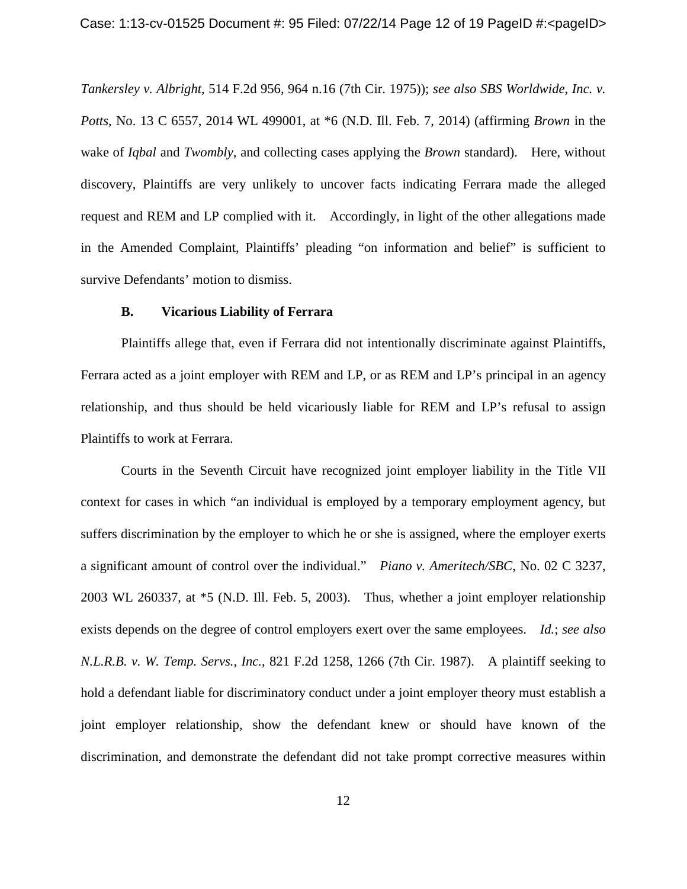*Tankersley v. Albright*, 514 F.2d 956, 964 n.16 (7th Cir. 1975)); *see also SBS Worldwide, Inc. v. Potts*, No. 13 C 6557, 2014 WL 499001, at \*6 (N.D. Ill. Feb. 7, 2014) (affirming *Brown* in the wake of *Iqbal* and *Twombly*, and collecting cases applying the *Brown* standard). Here, without discovery, Plaintiffs are very unlikely to uncover facts indicating Ferrara made the alleged request and REM and LP complied with it. Accordingly, in light of the other allegations made in the Amended Complaint, Plaintiffs' pleading "on information and belief" is sufficient to survive Defendants' motion to dismiss.

## **B. Vicarious Liability of Ferrara**

Plaintiffs allege that, even if Ferrara did not intentionally discriminate against Plaintiffs, Ferrara acted as a joint employer with REM and LP, or as REM and LP's principal in an agency relationship, and thus should be held vicariously liable for REM and LP's refusal to assign Plaintiffs to work at Ferrara.

Courts in the Seventh Circuit have recognized joint employer liability in the Title VII context for cases in which "an individual is employed by a temporary employment agency, but suffers discrimination by the employer to which he or she is assigned, where the employer exerts a significant amount of control over the individual." *Piano v. Ameritech/SBC*, No. 02 C 3237, 2003 WL 260337, at \*5 (N.D. Ill. Feb. 5, 2003). Thus, whether a joint employer relationship exists depends on the degree of control employers exert over the same employees. *Id.*; *see also N.L.R.B. v. W. Temp. Servs., Inc.*, 821 F.2d 1258, 1266 (7th Cir. 1987). A plaintiff seeking to hold a defendant liable for discriminatory conduct under a joint employer theory must establish a joint employer relationship, show the defendant knew or should have known of the discrimination, and demonstrate the defendant did not take prompt corrective measures within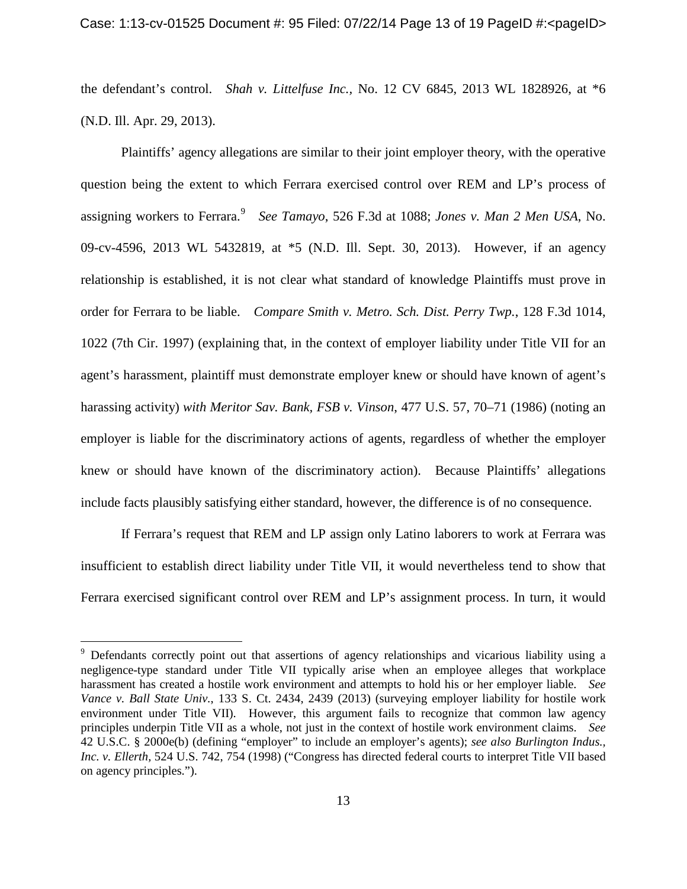the defendant's control. *Shah v. Littelfuse Inc.,* No. 12 CV 6845, 2013 WL 1828926, at \*6 (N.D. Ill. Apr. 29, 2013).

Plaintiffs' agency allegations are similar to their joint employer theory, with the operative question being the extent to which Ferrara exercised control over REM and LP's process of assigning workers to Ferrara. [9](#page-12-0) *See Tamayo*, 526 F.3d at 1088; *Jones v. Man 2 Men USA*, No. 09-cv-4596, 2013 WL 5432819, at \*5 (N.D. Ill. Sept. 30, 2013). However, if an agency relationship is established, it is not clear what standard of knowledge Plaintiffs must prove in order for Ferrara to be liable. *Compare Smith v. Metro. Sch. Dist. Perry Twp.*, 128 F.3d 1014, 1022 (7th Cir. 1997) (explaining that, in the context of employer liability under Title VII for an agent's harassment, plaintiff must demonstrate employer knew or should have known of agent's harassing activity) *with Meritor Sav. Bank, FSB v. Vinson*, 477 U.S. 57, 70–71 (1986) (noting an employer is liable for the discriminatory actions of agents, regardless of whether the employer knew or should have known of the discriminatory action). Because Plaintiffs' allegations include facts plausibly satisfying either standard, however, the difference is of no consequence.

If Ferrara's request that REM and LP assign only Latino laborers to work at Ferrara was insufficient to establish direct liability under Title VII, it would nevertheless tend to show that Ferrara exercised significant control over REM and LP's assignment process. In turn, it would

<span id="page-12-0"></span><sup>&</sup>lt;sup>9</sup> Defendants correctly point out that assertions of agency relationships and vicarious liability using a negligence-type standard under Title VII typically arise when an employee alleges that workplace harassment has created a hostile work environment and attempts to hold his or her employer liable. *See Vance v. Ball State Univ.*, 133 S. Ct. 2434, 2439 (2013) (surveying employer liability for hostile work environment under Title VII). However, this argument fails to recognize that common law agency principles underpin Title VII as a whole, not just in the context of hostile work environment claims. *See* 42 U.S.C. § 2000e(b) (defining "employer" to include an employer's agents); *see also Burlington Indus., Inc. v. Ellerth,* 524 U.S. 742, 754 (1998) ("Congress has directed federal courts to interpret Title VII based on agency principles.").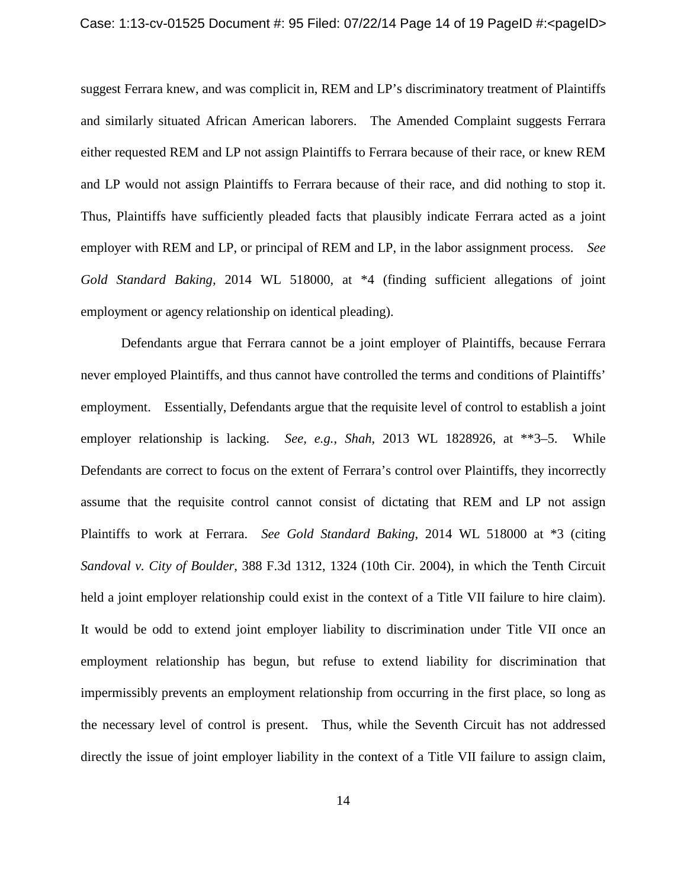suggest Ferrara knew, and was complicit in, REM and LP's discriminatory treatment of Plaintiffs and similarly situated African American laborers. The Amended Complaint suggests Ferrara either requested REM and LP not assign Plaintiffs to Ferrara because of their race, or knew REM and LP would not assign Plaintiffs to Ferrara because of their race, and did nothing to stop it. Thus, Plaintiffs have sufficiently pleaded facts that plausibly indicate Ferrara acted as a joint employer with REM and LP, or principal of REM and LP, in the labor assignment process. *See Gold Standard Baking,* 2014 WL 518000, at \*4 (finding sufficient allegations of joint employment or agency relationship on identical pleading).

Defendants argue that Ferrara cannot be a joint employer of Plaintiffs, because Ferrara never employed Plaintiffs, and thus cannot have controlled the terms and conditions of Plaintiffs' employment. Essentially, Defendants argue that the requisite level of control to establish a joint employer relationship is lacking. *See, e.g.*, *Shah*, 2013 WL 1828926, at \*\*3–5. While Defendants are correct to focus on the extent of Ferrara's control over Plaintiffs, they incorrectly assume that the requisite control cannot consist of dictating that REM and LP not assign Plaintiffs to work at Ferrara. *See Gold Standard Baking*, 2014 WL 518000 at \*3 (citing *Sandoval v. City of Boulder*, 388 F.3d 1312, 1324 (10th Cir. 2004), in which the Tenth Circuit held a joint employer relationship could exist in the context of a Title VII failure to hire claim). It would be odd to extend joint employer liability to discrimination under Title VII once an employment relationship has begun, but refuse to extend liability for discrimination that impermissibly prevents an employment relationship from occurring in the first place, so long as the necessary level of control is present. Thus, while the Seventh Circuit has not addressed directly the issue of joint employer liability in the context of a Title VII failure to assign claim,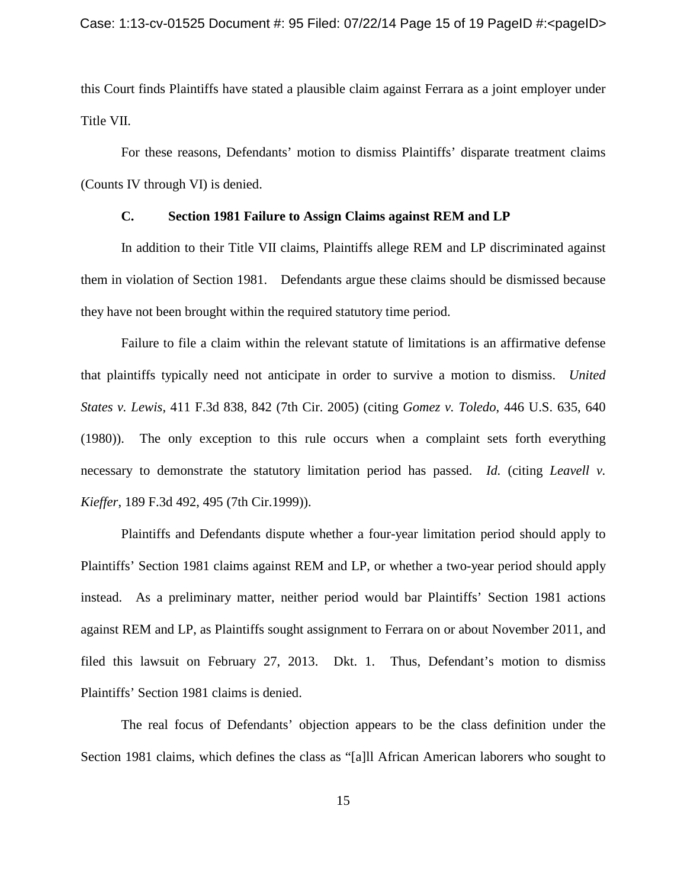this Court finds Plaintiffs have stated a plausible claim against Ferrara as a joint employer under Title VII.

For these reasons, Defendants' motion to dismiss Plaintiffs' disparate treatment claims (Counts IV through VI) is denied.

## **C. Section 1981 Failure to Assign Claims against REM and LP**

In addition to their Title VII claims, Plaintiffs allege REM and LP discriminated against them in violation of Section 1981. Defendants argue these claims should be dismissed because they have not been brought within the required statutory time period.

Failure to file a claim within the relevant statute of limitations is an affirmative defense that plaintiffs typically need not anticipate in order to survive a motion to dismiss. *United States v. Lewis*, 411 F.3d 838, 842 (7th Cir. 2005) (citing *Gomez v. Toledo*, 446 U.S. 635, 640 (1980)). The only exception to this rule occurs when a complaint sets forth everything necessary to demonstrate the statutory limitation period has passed. *Id.* (citing *Leavell v. Kieffer*, 189 F.3d 492, 495 (7th Cir.1999)).

Plaintiffs and Defendants dispute whether a four-year limitation period should apply to Plaintiffs' Section 1981 claims against REM and LP, or whether a two-year period should apply instead. As a preliminary matter, neither period would bar Plaintiffs' Section 1981 actions against REM and LP, as Plaintiffs sought assignment to Ferrara on or about November 2011, and filed this lawsuit on February 27, 2013. Dkt. 1. Thus, Defendant's motion to dismiss Plaintiffs' Section 1981 claims is denied.

The real focus of Defendants' objection appears to be the class definition under the Section 1981 claims, which defines the class as "[a]ll African American laborers who sought to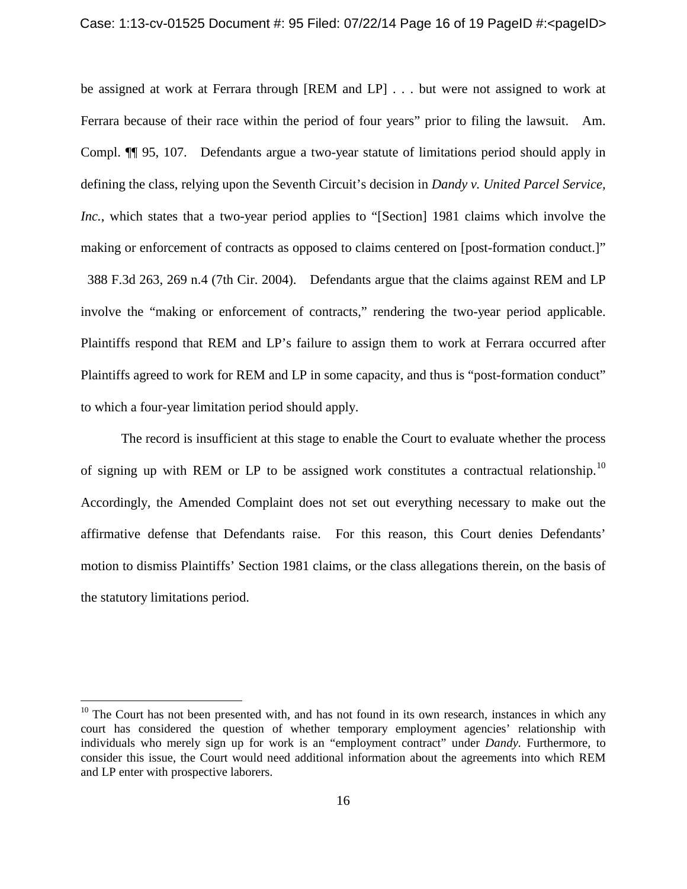be assigned at work at Ferrara through [REM and LP] . . . but were not assigned to work at Ferrara because of their race within the period of four years" prior to filing the lawsuit. Am. Compl. ¶¶ 95, 107. Defendants argue a two-year statute of limitations period should apply in defining the class, relying upon the Seventh Circuit's decision in *Dandy v. United Parcel Service, Inc.*, which states that a two-year period applies to "[Section] 1981 claims which involve the making or enforcement of contracts as opposed to claims centered on [post-formation conduct.]" 388 F.3d 263, 269 n.4 (7th Cir. 2004). Defendants argue that the claims against REM and LP involve the "making or enforcement of contracts," rendering the two-year period applicable. Plaintiffs respond that REM and LP's failure to assign them to work at Ferrara occurred after Plaintiffs agreed to work for REM and LP in some capacity, and thus is "post-formation conduct" to which a four-year limitation period should apply.

The record is insufficient at this stage to enable the Court to evaluate whether the process of signing up with REM or LP to be assigned work constitutes a contractual relationship.<sup>[10](#page-15-0)</sup> Accordingly, the Amended Complaint does not set out everything necessary to make out the affirmative defense that Defendants raise. For this reason, this Court denies Defendants' motion to dismiss Plaintiffs' Section 1981 claims, or the class allegations therein, on the basis of the statutory limitations period.

<span id="page-15-0"></span> $10$  The Court has not been presented with, and has not found in its own research, instances in which any court has considered the question of whether temporary employment agencies' relationship with individuals who merely sign up for work is an "employment contract" under *Dandy*. Furthermore, to consider this issue, the Court would need additional information about the agreements into which REM and LP enter with prospective laborers.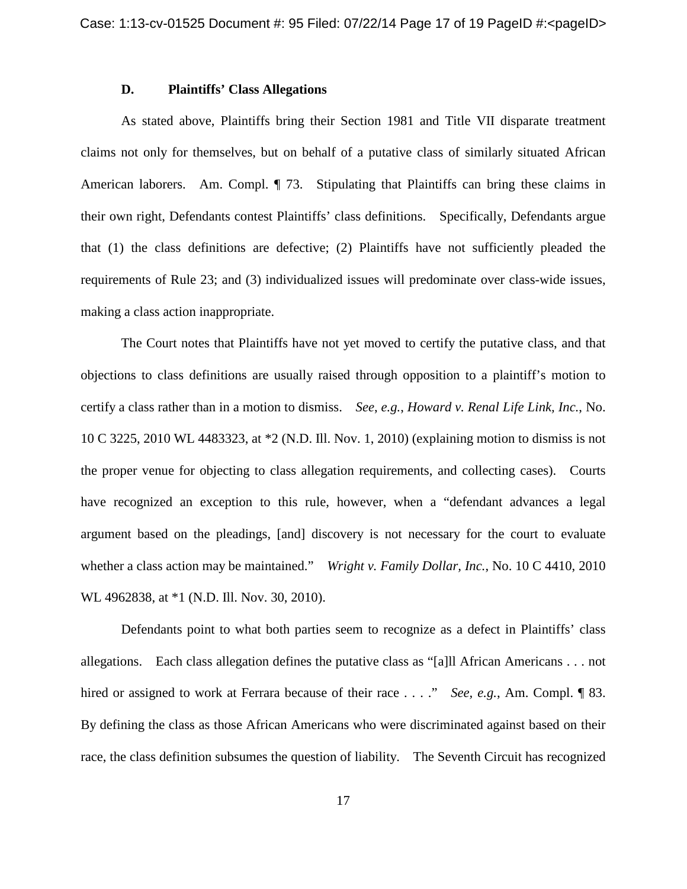## **D. Plaintiffs' Class Allegations**

As stated above, Plaintiffs bring their Section 1981 and Title VII disparate treatment claims not only for themselves, but on behalf of a putative class of similarly situated African American laborers. Am. Compl. ¶ 73. Stipulating that Plaintiffs can bring these claims in their own right, Defendants contest Plaintiffs' class definitions. Specifically, Defendants argue that (1) the class definitions are defective; (2) Plaintiffs have not sufficiently pleaded the requirements of Rule 23; and (3) individualized issues will predominate over class-wide issues, making a class action inappropriate.

The Court notes that Plaintiffs have not yet moved to certify the putative class, and that objections to class definitions are usually raised through opposition to a plaintiff's motion to certify a class rather than in a motion to dismiss. *See*, *e.g.*, *Howard v. Renal Life Link, Inc.*, No. 10 C 3225, 2010 WL 4483323, at \*2 (N.D. Ill. Nov. 1, 2010) (explaining motion to dismiss is not the proper venue for objecting to class allegation requirements, and collecting cases). Courts have recognized an exception to this rule, however, when a "defendant advances a legal argument based on the pleadings, [and] discovery is not necessary for the court to evaluate whether a class action may be maintained." *Wright v. Family Dollar, Inc.*, No. 10 C 4410, 2010 WL 4962838, at \*1 (N.D. Ill. Nov. 30, 2010).

Defendants point to what both parties seem to recognize as a defect in Plaintiffs' class allegations. Each class allegation defines the putative class as "[a]ll African Americans . . . not hired or assigned to work at Ferrara because of their race . . . ." *See, e.g.*, Am. Compl. ¶ 83. By defining the class as those African Americans who were discriminated against based on their race, the class definition subsumes the question of liability. The Seventh Circuit has recognized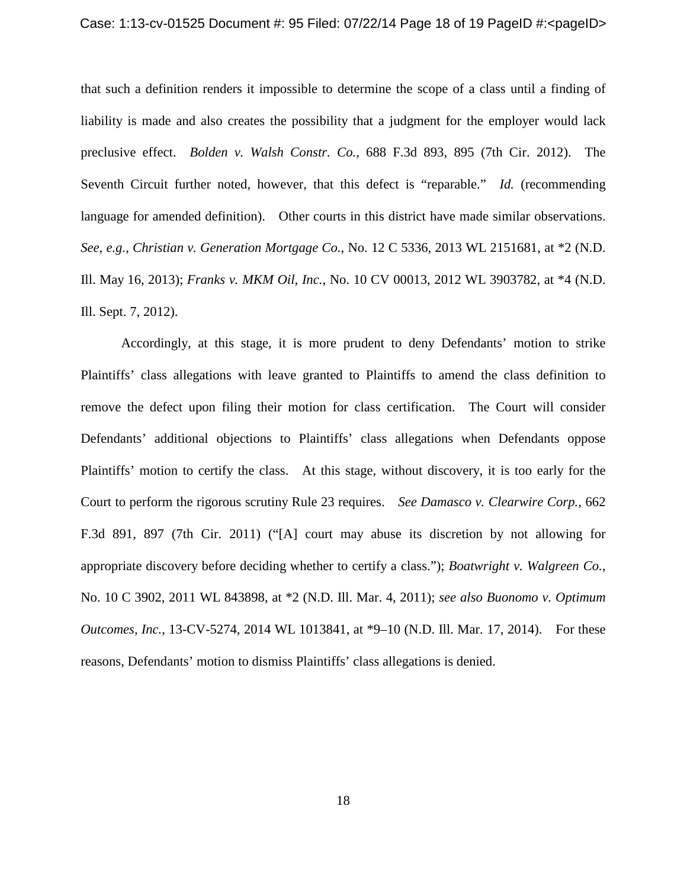that such a definition renders it impossible to determine the scope of a class until a finding of liability is made and also creates the possibility that a judgment for the employer would lack preclusive effect. *Bolden v. Walsh Constr. Co.*, 688 F.3d 893, 895 (7th Cir. 2012). The Seventh Circuit further noted, however, that this defect is "reparable." *Id.* (recommending language for amended definition). Other courts in this district have made similar observations. *See*, *e.g.*, *Christian v. Generation Mortgage Co.*, No. 12 C 5336, 2013 WL 2151681, at \*2 (N.D. Ill. May 16, 2013); *Franks v. MKM Oil, Inc.*, No. 10 CV 00013, 2012 WL 3903782, at \*4 (N.D. Ill. Sept. 7, 2012).

Accordingly, at this stage, it is more prudent to deny Defendants' motion to strike Plaintiffs' class allegations with leave granted to Plaintiffs to amend the class definition to remove the defect upon filing their motion for class certification. The Court will consider Defendants' additional objections to Plaintiffs' class allegations when Defendants oppose Plaintiffs' motion to certify the class. At this stage, without discovery, it is too early for the Court to perform the rigorous scrutiny Rule 23 requires. *See Damasco v. Clearwire Corp.*, 662 F.3d 891, 897 (7th Cir. 2011) ("[A] court may abuse its discretion by not allowing for appropriate discovery before deciding whether to certify a class."); *Boatwright v. Walgreen Co.*, No. 10 C 3902, 2011 WL 843898, at \*2 (N.D. Ill. Mar. 4, 2011); *see also Buonomo v. Optimum Outcomes, Inc.*, 13-CV-5274, 2014 WL 1013841, at \*9–10 (N.D. Ill. Mar. 17, 2014). For these reasons, Defendants' motion to dismiss Plaintiffs' class allegations is denied.